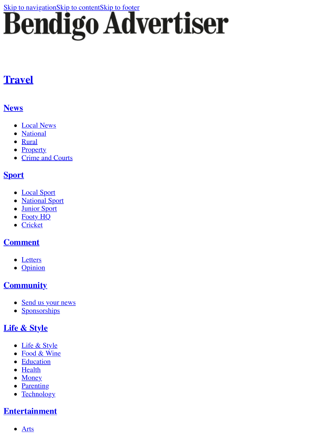# [Skip to navigation](#page-0-0)[Skip to content](http://www.bendigoadvertiser.com.au/story/3127752/top-10-most-creative-holiday-lessons/?cs=34#content)[Skip to footer](http://www.bendigoadvertiser.com.au/story/3127752/top-10-most-creative-holiday-lessons/?cs=34#footer)<br>Bendigo Advertiser

## **[Travel](http://www.bendigoadvertiser.com.au/life-style/travel/)**

## <span id="page-0-0"></span>**[News](http://www.bendigoadvertiser.com.au/news/)**

- [Local News](http://www.bendigoadvertiser.com.au/news/local-news/)
- [National](http://www.bendigoadvertiser.com.au/news/national/)
- [Rural](http://www.bendigoadvertiser.com.au/news/rural/)
- [Property](http://www.bendigoadvertiser.com.au/domain-bendigo/)
- [Crime and Courts](http://www.bendigoadvertiser.com.au/news/crime-and-courts/)

#### **[Sport](http://www.bendigoadvertiser.com.au/sport/)**

- [Local Sport](http://www.bendigoadvertiser.com.au/sport/local-sport/)
- [National Sport](http://www.bendigoadvertiser.com.au/sport/national-sport/)
- [Junior Sport](http://www.bendigoadvertiser.com.au/sport/junior-sport/)
- [Footy HQ](http://www.bendigoadvertiser.com.au/sport/footy-hq/)
- [Cricket](http://www.bendigoadvertiser.com.au/sport/cricket/)

## **[Comment](http://www.bendigoadvertiser.com.au/comment/)**

- [Letters](http://www.bendigoadvertiser.com.au/opinion/letters/)
- [Opinion](http://www.bendigoadvertiser.com.au/opinion/)

## **[Community](http://www.bendigoadvertiser.com.au/community/)**

- [Send us your news](http://www.bendigoadvertiser.com.au/community/forms/)
- [Sponsorships](http://www.bendigoadvertiser.com.au/sponsorships/)

## **[Life & Style](http://www.bendigoadvertiser.com.au/life-style/)**

- [Life & Style](http://www.bendigoadvertiser.com.au/life-style/bendigo-life-style/)
- [Food & Wine](http://www.bendigoadvertiser.com.au/life-style/food-wine/)
- [Education](http://www.bendigoadvertiser.com.au/life-style/education/)
- [Health](http://www.bendigoadvertiser.com.au/life-style/health/)
- [Money](http://www.bendigoadvertiser.com.au/life-style/money/)
- [Parenting](http://www.bendigoadvertiser.com.au/life-style/parenting/)
- [Technology](http://www.bendigoadvertiser.com.au/life-style/technology/)

## **[Entertainment](http://www.bendigoadvertiser.com.au/entertainment/)**

 $\bullet$  [Arts](http://www.bendigoadvertiser.com.au/entertainment/arts/)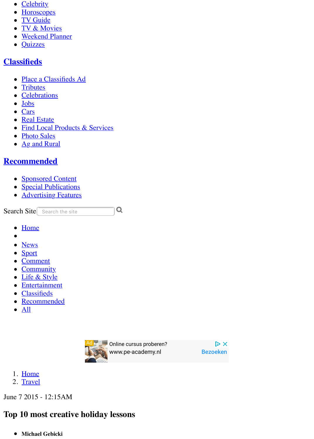- [Celebrity](http://www.bendigoadvertiser.com.au/entertainment/celebrity/)
- [Horoscopes](http://www.bendigoadvertiser.com.au/entertainment/horoscopes/)
- [TV Guide](http://www.bendigoadvertiser.com.au/entertainment/tv-guide/)  $\bullet$
- [TV & Movies](http://www.bendigoadvertiser.com.au/entertainment/tv-movies/)
- [Weekend Planner](http://www.bendigoadvertiser.com.au/entertainment/weekend-planner/)
- [Quizzes](http://www.bendigoadvertiser.com.au/entertainment/quizzes-puzzles/)

## **[Classifieds](http://www.bendigoadvertiser.com.au/classifieds/notices/)**

- [Place a Classifieds Ad](https://advertisers.com.au/?pub=BAT)
- [Tributes](http://tributes.bendigoadvertiser.com.au/obituaries/bendigoadvertiser-au/)
- [Celebrations](http://celebrations.bendigoadvertiser.com.au/celebration/bendigoadvertiser-au/)
- [Jobs](http://www.bendigoadvertiser.com.au/jobs/)
- [Cars](http://www.countrycars.com.au/)
- [Real Estate](https://www.domain.com.au/sale/bendigo-vic-3550/)
- [Find Local Products & Services](http://www.bendigoadvertiser.com.au/business/)
- [Photo Sales](http://www.bendigoadvertiser.com.au/community/photo-sales/)
- [Ag and Rural](https://www.agtrader.com.au/search/vic--northern-victoria--greater-bendigo-region?utm_source=bendigoadvertiser.com.au&utm_medium=classifieds&utm_campaign=regionals)

## **[Recommended](http://www.bendigoadvertiser.com.au/recommended/)**

- [Sponsored Content](http://www.bendigoadvertiser.com.au/sponsored-content/)
- [Special Publications](http://www.bendigoadvertiser.com.au/special-publications/)
- [Advertising Features](http://www.bendigoadvertiser.com.au/advertising-feature/)

Search Site Search the site

- **[Home](http://www.bendigoadvertiser.com.au/)**  $\bullet$
- $\bullet$
- [News](http://www.bendigoadvertiser.com.au/news/)
- [Sport](http://www.bendigoadvertiser.com.au/sport/)
- [Comment](http://www.bendigoadvertiser.com.au/comment/)
- [Community](http://www.bendigoadvertiser.com.au/community/)
- [Life & Style](http://www.bendigoadvertiser.com.au/life-style/)
- [Entertainment](http://www.bendigoadvertiser.com.au/entertainment/)
- **[Classifieds](http://www.bendigoadvertiser.com.au/classifieds/notices/)**
- [Recommended](http://www.bendigoadvertiser.com.au/recommended/)
- $\bullet$  [All](http://www.bendigoadvertiser.com.au/story/3127752/top-10-most-creative-holiday-lessons/?cs=34#)



[www.pe-academy.nl](https://googleads.g.doubleclick.net/aclk?sa=l&ai=CiAz8qz-AWoflFMSCgQe8la3QD7vshrZNtbKMurICwI23ARABINvxuVdgkayThfwXoAHr7vzTA8gBAakCHCXRiyaOtD7gAgCoAwHIA5sEqgSKAk_QRATFt26h7xBhEtRpI7NLreBONEpmiXg6gLjDHiqvqProNnOWE-PC3KwxfRty4zypqGfVlhJPX1WRFPCGYZ9GBxyj8o6scCFub3Z6vGLMw1sbUrgdjkSesV7lv1p26Q1IZRX6zHW9hCLBDw6vNpfHMV6ig_qYkLem1xLdKs7kkyrgssD28B7s2xXLkWKqPQYN18Aic773mXeUpNcqTarPQqSgVQw9E-EEi_kfNp77_Wb2NZEB6of8NYxqUoCQleY1FHb94zH3EZmr3kPbAIeEvhJtYDICuCr0jluTOBNBuSIu35Dm22ndKjwCUd38FVS02sSoSRvwO5_Z1Xq0T08S2ZEdlPPRvDya4AQBgAf9kIMsqAemvhvYBwHSCAcIgGEQARgBsQmTzuciviZmOIAKA9gTAg&num=1&sig=AOD64_12tO6RMwniPddVJWdTAs9y2eHMCQ&client=ca-pub-7888676654047393&adurl=http://www.pe-academy.nl/accountant/gratis-cursus) [Bezoeken](https://googleads.g.doubleclick.net/aclk?sa=l&ai=CiAz8qz-AWoflFMSCgQe8la3QD7vshrZNtbKMurICwI23ARABINvxuVdgkayThfwXoAHr7vzTA8gBAakCHCXRiyaOtD7gAgCoAwHIA5sEqgSKAk_QRATFt26h7xBhEtRpI7NLreBONEpmiXg6gLjDHiqvqProNnOWE-PC3KwxfRty4zypqGfVlhJPX1WRFPCGYZ9GBxyj8o6scCFub3Z6vGLMw1sbUrgdjkSesV7lv1p26Q1IZRX6zHW9hCLBDw6vNpfHMV6ig_qYkLem1xLdKs7kkyrgssD28B7s2xXLkWKqPQYN18Aic773mXeUpNcqTarPQqSgVQw9E-EEi_kfNp77_Wb2NZEB6of8NYxqUoCQleY1FHb94zH3EZmr3kPbAIeEvhJtYDICuCr0jluTOBNBuSIu35Dm22ndKjwCUd38FVS02sSoSRvwO5_Z1Xq0T08S2ZEdlPPRvDya4AQBgAf9kIMsqAemvhvYBwHSCAcIgGEQARgBsQmTzuciviZmOIAKA9gTAg&num=1&sig=AOD64_12tO6RMwniPddVJWdTAs9y2eHMCQ&client=ca-pub-7888676654047393&adurl=http://www.pe-academy.nl/accountant/gratis-cursus) [Online cursus proberen?](https://googleads.g.doubleclick.net/aclk?sa=l&ai=CiAz8qz-AWoflFMSCgQe8la3QD7vshrZNtbKMurICwI23ARABINvxuVdgkayThfwXoAHr7vzTA8gBAakCHCXRiyaOtD7gAgCoAwHIA5sEqgSKAk_QRATFt26h7xBhEtRpI7NLreBONEpmiXg6gLjDHiqvqProNnOWE-PC3KwxfRty4zypqGfVlhJPX1WRFPCGYZ9GBxyj8o6scCFub3Z6vGLMw1sbUrgdjkSesV7lv1p26Q1IZRX6zHW9hCLBDw6vNpfHMV6ig_qYkLem1xLdKs7kkyrgssD28B7s2xXLkWKqPQYN18Aic773mXeUpNcqTarPQqSgVQw9E-EEi_kfNp77_Wb2NZEB6of8NYxqUoCQleY1FHb94zH3EZmr3kPbAIeEvhJtYDICuCr0jluTOBNBuSIu35Dm22ndKjwCUd38FVS02sSoSRvwO5_Z1Xq0T08S2ZEdlPPRvDya4AQBgAf9kIMsqAemvhvYBwHSCAcIgGEQARgBsQmTzuciviZmOIAKA9gTAg&num=1&sig=AOD64_12tO6RMwniPddVJWdTAs9y2eHMCQ&client=ca-pub-7888676654047393&adurl=http://www.pe-academy.nl/accountant/gratis-cursus)

 $\mathbf Q$ 

 $\triangleright$  X

- 1. [Home](http://www.bendigoadvertiser.com.au/)
- 2. [Travel](http://www.bendigoadvertiser.com.au/life-style/travel/)

June 7 2015 - 12:15AM

## **Top 10 most creative holiday lessons**

**Michael Gebicki**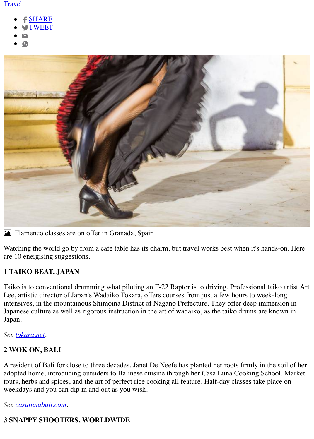#### [Travel](http://www.bendigoadvertiser.com.au/life-style/travel/)

- [SHARE](https://www.facebook.com/sharer/sharer.php?u=http://www.bendigoadvertiser.com.au/story/3127752/top-10-most-creative-holiday-lessons/?cs=5445)
- **[TWEET](http://twitter.com/share?url=http://www.bendigoadvertiser.com.au/story/3127752/top-10-most-creative-holiday-lessons/?cs=5445&text=Top%2010%20most%20creative%20holiday%20lessons&via=BgoAddy)**
- 
- 



! Flamenco classes are on offer in Granada, Spain.

Watching the world go by from a cafe table has its charm, but travel works best when it's hands-on. Here are 10 energising suggestions.

#### **1 TAIKO BEAT, JAPAN**

Taiko is to conventional drumming what piloting an F-22 Raptor is to driving. Professional taiko artist Art Lee, artistic director of Japan's Wadaiko Tokara, offers courses from just a few hours to week-long intensives, in the mountainous Shimoina District of Nagano Prefecture. They offer deep immersion in Japanese culture as well as rigorous instruction in the art of wadaiko, as the taiko drums are known in Japan.

#### *See [tokara.net.](http://tokara.net/)*

#### **2 WOK ON, BALI**

A resident of Bali for close to three decades, Janet De Neefe has planted her roots firmly in the soil of her adopted home, introducing outsiders to Balinese cuisine through her Casa Luna Cooking School. Market tours, herbs and spices, and the art of perfect rice cooking all feature. Half-day classes take place on weekdays and you can dip in and out as you wish.

#### *See [casalunabali.com.](http://casalunabali.com/)*

#### **3 SNAPPY SHOOTERS, WORLDWIDE**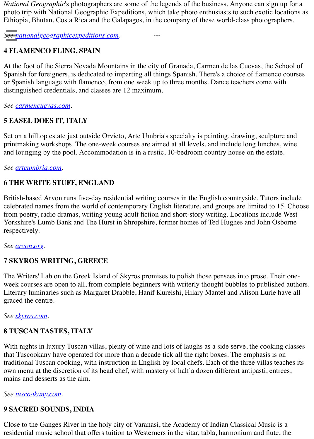*National Geographic*'s photographers are some of the legends of the business. Anyone can sign up for a photo trip with National Geographic Expeditions, which take photo enthusiasts to such exotic locations as Ethiopia, Bhutan, Costa Rica and the Galapagos, in the company of these world-class photographers.

 $\ddot{\bullet}$ 

*See [nationalgeographicexpeditions.com.](http://nationalgeographicexpeditions.com/)*

#### **4 FLAMENCO FLING, SPAIN**

At the foot of the Sierra Nevada Mountains in the city of Granada, Carmen de las Cuevas, the School of Spanish for foreigners, is dedicated to imparting all things Spanish. There's a choice of flamenco courses or Spanish language with flamenco, from one week up to three months. Dance teachers come with distinguished credentials, and classes are 12 maximum.

*See [carmencuevas.com](http://carmencuevas.com/).*

#### **5 EASEL DOES IT, ITALY**

Set on a hilltop estate just outside Orvieto, Arte Umbria's specialty is painting, drawing, sculpture and printmaking workshops. The one-week courses are aimed at all levels, and include long lunches, wine and lounging by the pool. Accommodation is in a rustic, 10-bedroom country house on the estate.

*See [arteumbria.com.](http://arteumbria.com/)*

#### **6 THE WRITE STUFF, ENGLAND**

British-based Arvon runs five-day residential writing courses in the English countryside. Tutors include celebrated names from the world of contemporary English literature, and groups are limited to 15. Choose from poetry, radio dramas, writing young adult fiction and short-story writing. Locations include West Yorkshire's Lumb Bank and The Hurst in Shropshire, former homes of Ted Hughes and John Osborne respectively.

*See [arvon.org](http://arvon.org/).*

#### **7 SKYROS WRITING, GREECE**

The Writers' Lab on the Greek Island of Skyros promises to polish those pensees into prose. Their oneweek courses are open to all, from complete beginners with writerly thought bubbles to published authors. Literary luminaries such as Margaret Drabble, Hanif Kureishi, Hilary Mantel and Alison Lurie have all graced the centre.

*See [skyros.com](http://skyros.com/).*

#### **8 TUSCAN TASTES, ITALY**

With nights in luxury Tuscan villas, plenty of wine and lots of laughs as a side serve, the cooking classes that Tuscookany have operated for more than a decade tick all the right boxes. The emphasis is on traditional Tuscan cooking, with instruction in English by local chefs. Each of the three villas teaches its own menu at the discretion of its head chef, with mastery of half a dozen different antipasti, entrees, mains and desserts as the aim.

*See [tuscookany.com.](http://tuscookany.com/)*

#### **9 SACRED SOUNDS, INDIA**

Close to the Ganges River in the holy city of Varanasi, the Academy of Indian Classical Music is a residential music school that offers tuition to Westerners in the sitar, tabla, harmonium and flute, the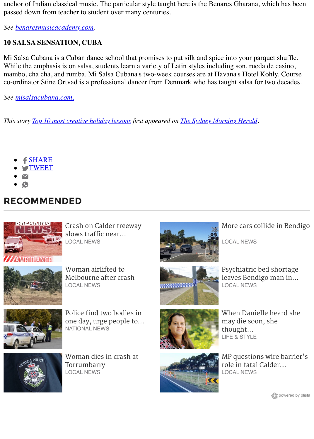anchor of Indian classical music. The particular style taught here is the Benares Gharana, which has been passed down from teacher to student over many centuries.

*See [benaresmusicacademy.com](http://benaresmusicacademy.com/).*

#### **10 SALSA SENSATION, CUBA**

Mi Salsa Cubana is a Cuban dance school that promises to put silk and spice into your parquet shuffle. While the emphasis is on salsa, students learn a variety of Latin styles including son, rueda de casino, mambo, cha cha, and rumba. Mi Salsa Cubana's two-week courses are at Havana's Hotel Kohly. Course co-ordinator Stine Ortvad is a professional dancer from Denmark who has taught salsa for two decades.

*See [misalsacubana.com.](http://misalsacubana.com./)*

*This story [Top 10 most creative holiday lessons](http://www.smh.com.au/travel/top-10-most-creative-holiday-lessons-20150601-gh6brb.html) first appeared on [The Sydney Morning Herald](http://www.smh.com.au/).*

- f **[SHARE](https://www.facebook.com/sharer/sharer.php?u=http://www.bendigoadvertiser.com.au/story/3127752/top-10-most-creative-holiday-lessons/?cs=5445)**
- **S[TWEET](http://twitter.com/share?url=http://www.bendigoadvertiser.com.au/story/3127752/top-10-most-creative-holiday-lessons/?cs=5445&text=Top%2010%20most%20creative%20holiday%20lessons&via=BgoAddy)**
- 
- 

## **RECOMMENDED**



[Crash on Calder freeway](http://www.bendigoadvertiser.com.au/story/5193603/crash-on-calder-freeway-slows-traffic-near-malmsbury/?cs=80) slows traffic near... LOCAL NEWS



Woman airlifted to [Melbourne after crash](http://www.bendigoadvertiser.com.au/story/5221198/woman-airlifted-to-melbourne-after-crash/?cs=80) LOCAL NEWS



Police find two bodies in [one day, urge people to...](http://www.bendigoadvertiser.com.au/story/5220305/police-find-two-bodies-in-one-day-urge-people-to-care-for-neighbours/?cs=7) NATIONAL NEWS



[Woman dies in crash at](http://www.bendigoadvertiser.com.au/story/5220528/woman-dies-in-crash-at-torrumbarry/?cs=80) Torrumbarry LOCAL NEWS



[More cars collide in Bendigo](http://www.bendigoadvertiser.com.au/story/5203692/more-cars-collide-in-bendigo/?cs=80)

LOCAL NEWS



Psychiatric bed shortage [leaves Bendigo man in...](http://www.bendigoadvertiser.com.au/story/5219811/psychiatric-bed-shortage-leaves-bendigo-man-in-prison-system/?cs=80) LOCAL NEWS



thought... LIFE & STYLE [MP questions wire barrier's](http://www.bendigoadvertiser.com.au/story/5217812/mp-questions-wire-barriers-role-in-fatal-calder-crash/?cs=80)



role in fatal Calder...

[When Danielle heard she](http://www.bendigoadvertiser.com.au/story/5215875/when-danielle-heard-she-may-die-soon-she-thought-of-her-daughter/)

may die soon, she

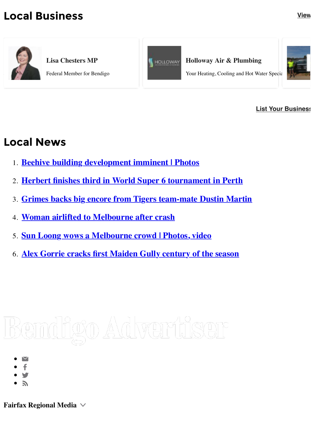## **Local Business [View](http://www.bendigoadvertiser.com.au/business/)**



**Lisa Chesters MP**

Federal Member for Bendigo



**Holloway Air & Plumbing**

Your Heating, Cooling and Hot Water Special



**[List Your Business](http://www.bendigoadvertiser.com.au/advertise/)** 

## **Local News**

- 1. **[Beehive building development imminent | Photos](http://www.bendigoadvertiser.com.au/story/5219930/beehive-building-development-imminent-photos/?cs=80)**
- 2. **[Herbert finishes third in World Super 6 tournament in Perth](http://www.bendigoadvertiser.com.au/story/5221288/herbert-finishes-third-in-world-super-6-tournament-in-perth/?cs=80)**
- 3. **[Grimes backs big encore from Tigers team-mate Dustin Martin](http://www.bendigoadvertiser.com.au/story/5221243/grimes-backs-big-encore-from-tigers-team-mate-dustin-martin/?cs=80)**
- 4. **[Woman airlifted to Melbourne after crash](http://www.bendigoadvertiser.com.au/story/5221198/woman-airlifted-to-melbourne-after-crash/?cs=80)**
- 5. **[Sun Loong wows a Melbourne crowd | Photos, video](http://www.bendigoadvertiser.com.au/story/5220701/sun-loong-wows-a-melbourne-crowd-photos-video/?cs=80)**
- 6. **[Alex Gorrie cracks first Maiden Gully century of the season](http://www.bendigoadvertiser.com.au/story/5220783/alex-gorrie-cracks-first-maiden-gully-century-of-the-season/?cs=80)**

## <u>Bendigo Advertiser</u>

- 
- 
- 
- 

**Fairfax Regional Media**